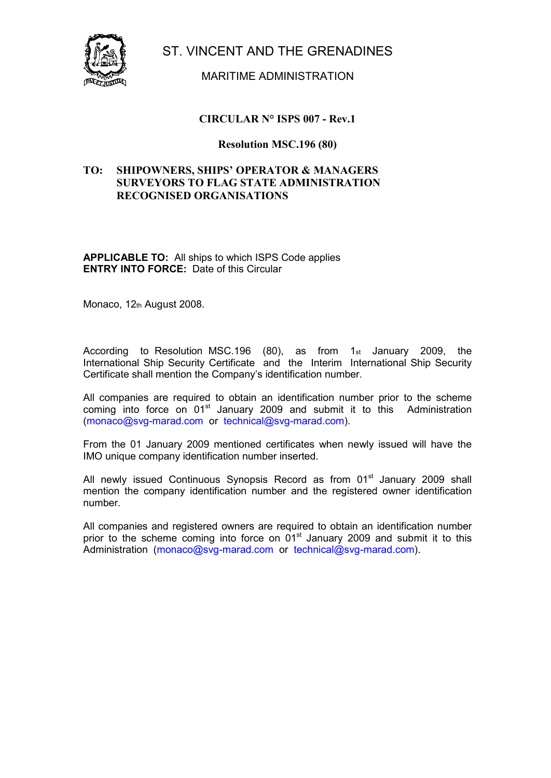

VINCENT AND THE GRENADINES MARITIME ADMINISTRATION

# **N° ISPS <sup>007</sup> - Rev.1 Resolution MSC.196 (80)**

# **SHIPOWNERS, SHIPSí OPERATOR & MANAGERS TO FLAG STATE ADMINISTRATION** SHIPOWNERS, SHIPS' OPERATOR <mark>&</mark> MA<br>SURVEYORS TO FLAG STATE ADMINIST<br>RECOGNISED ORGANISATIONS TO:

 **TO:** All ships to which ISPS Code applies **ABLE TO:** All ships to which ISPS Code<br>**INTO FORCE:** Date of this Circular **ENTRY INTO FORCE:** Date of this Circular<br>Monaco, 12th August 2008.

to Resolution MSC.196 (80), as from 1 $_{\rm st}$  January 2009, the o Resolution MSC.196 (80), as from 1st January 2009, the<br>Ship Security Certificate and the Interim International Ship Security According to Resolution MSC.196 (80), as from 1st Ja<br>International Ship Security Certificate and the Interim International Ship Security Certificate and the Internation companies are required to obtain an identification number.<br>Companies are required to obtain an identification number prior to the scheme Certificate shall mention the Company's identification number.

is shall member the company's determined in mallion.<br>
Sanies are required to obtain an identification number prior to the scheme<br>
into force on 01<sup>st</sup> January 2009 and submit it to this Administration All companies are require coming into force on 01<sup>st</sup> January 2009 and submit it to this Administration the 01 [January](mailto:monaco@svg-marad.com) 2009 mentioned [certificates](mailto:technical@svg-marad.com) when newly issued will have the<br>the 01 January 2009 mentioned certificates when newly issued will have the (monaco@svg-marad.com or technical@svg-marad.com).

From the 01 January 2009 mentioned certificates when<br>IMO unique company identification number inserted. newly issued Continuous Synopsis Record as from 01<sup>st</sup> January 2009 shall IMO unique company identification number inserted.

the company identification number incented.<br>  $\mu$  issued Continuous Synopsis Record as from 01<sup>st</sup> January 2009 shall<br>
the company identification number and the registered owner identification All new mention the company identification number and the registered owner identification number. prior in the control of the control of the control of the control of the control of the control of the control of the control of the control of the control of the control of the control of the control of the control of the

mber.<br>
companies and registered owners are required to obtain an identification number<br>
In the second system into farge regulary in 2000 and submit it to this -..<br>mpanies and registered owners are required to obtain an identification number<br>to the scheme coming into force on 01<sup>st</sup> January 2009 and submit it to this All companies and registered owners are required to obtain an identificat<br>neme coming into force on 01<sup>st</sup> January 2009 and subm<br>(monaco@svg-marad.com or technical@svg-marad.com).